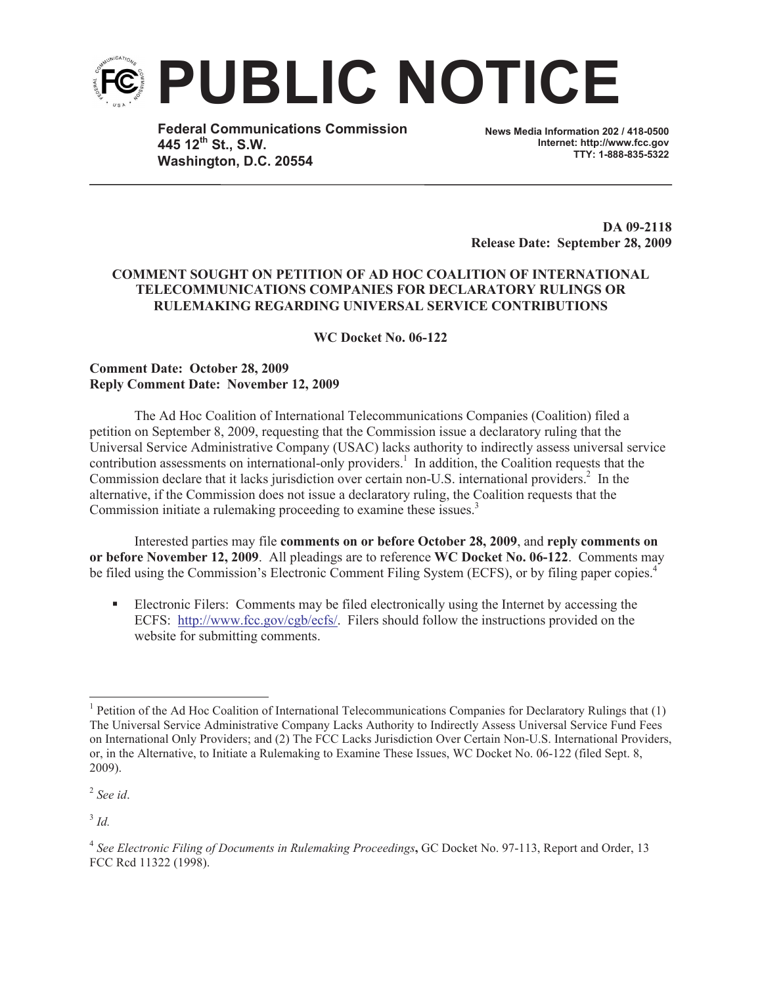

**Federal Communications Commission 445 12th St., S.W. Washington, D.C. 20554**

**News Media Information 202 / 418-0500 Internet: http://www.fcc.gov TTY: 1-888-835-5322**

**DA 09-2118 Release Date: September 28, 2009**

## **COMMENT SOUGHT ON PETITION OF AD HOC COALITION OF INTERNATIONAL TELECOMMUNICATIONS COMPANIES FOR DECLARATORY RULINGS OR RULEMAKING REGARDING UNIVERSAL SERVICE CONTRIBUTIONS**

**WC Docket No. 06-122**

## **Comment Date: October 28, 2009 Reply Comment Date: November 12, 2009**

The Ad Hoc Coalition of International Telecommunications Companies (Coalition) filed a petition on September 8, 2009, requesting that the Commission issue a declaratory ruling that the Universal Service Administrative Company (USAC) lacks authority to indirectly assess universal service contribution assessments on international-only providers.<sup>1</sup> In addition, the Coalition requests that the Commission declare that it lacks jurisdiction over certain non-U.S. international providers.<sup>2</sup> In the alternative, if the Commission does not issue a declaratory ruling, the Coalition requests that the Commission initiate a rulemaking proceeding to examine these issues.<sup>3</sup>

Interested parties may file **comments on or before October 28, 2009**, and **reply comments on or before November 12, 2009**. All pleadings are to reference **WC Docket No. 06-122**. Comments may be filed using the Commission's Electronic Comment Filing System (ECFS), or by filing paper copies.<sup>4</sup>

■ Electronic Filers: Comments may be filed electronically using the Internet by accessing the ECFS: http://www.fcc.gov/cgb/ecfs/. Filers should follow the instructions provided on the website for submitting comments.

2 *See id*.

3 *Id.* 

<sup>&</sup>lt;sup>1</sup> Petition of the Ad Hoc Coalition of International Telecommunications Companies for Declaratory Rulings that (1) The Universal Service Administrative Company Lacks Authority to Indirectly Assess Universal Service Fund Fees on International Only Providers; and (2) The FCC Lacks Jurisdiction Over Certain Non-U.S. International Providers, or, in the Alternative, to Initiate a Rulemaking to Examine These Issues, WC Docket No. 06-122 (filed Sept. 8, 2009).

<sup>&</sup>lt;sup>4</sup> See Electronic Filing of Documents in Rulemaking Proceedings, GC Docket No. 97-113, Report and Order, 13 FCC Rcd 11322 (1998).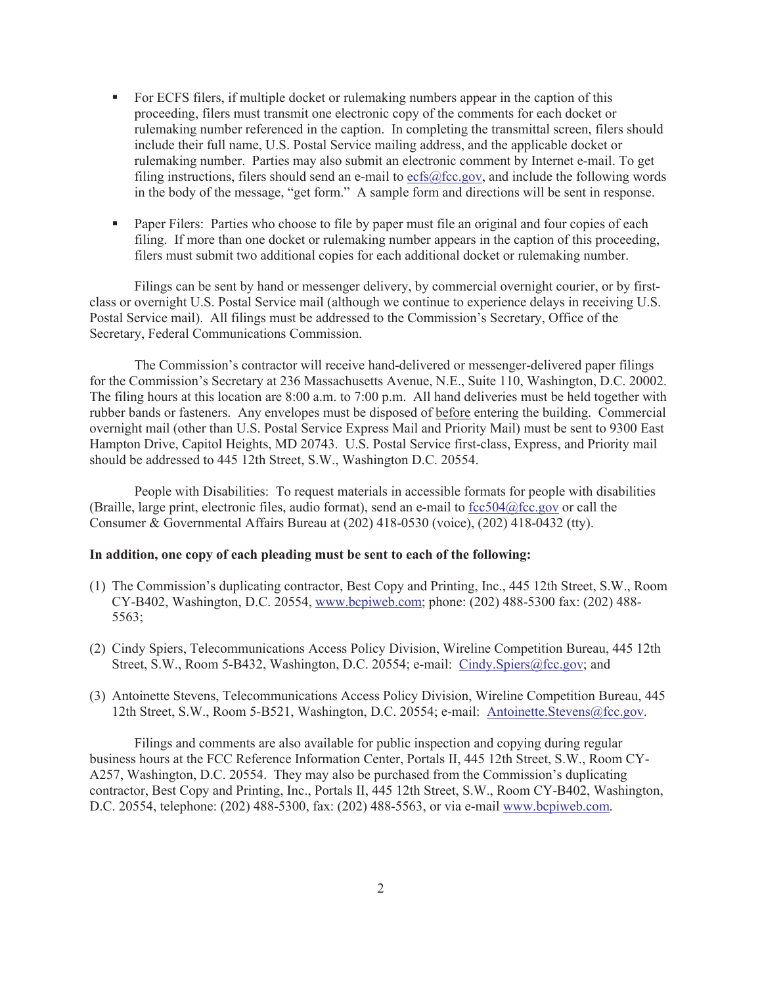- For ECFS filers, if multiple docket or rulemaking numbers appear in the caption of this proceeding, filers must transmit one electronic copy of the comments for each docket or rulemaking number referenced in the caption. In completing the transmittal screen, filers should include their full name, U.S. Postal Service mailing address, and the applicable docket or rulemaking number. Parties may also submit an electronic comment by Internet e-mail. To get filing instructions, filers should send an e-mail to  $ecfs@fcc.gov$ , and include the following words in the body of the message, "get form." A sample form and directions will be sent in response.
- Paper Filers: Parties who choose to file by paper must file an original and four copies of each filing. If more than one docket or rulemaking number appears in the caption of this proceeding, filers must submit two additional copies for each additional docket or rulemaking number.

Filings can be sent by hand or messenger delivery, by commercial overnight courier, or by firstclass or overnight U.S. Postal Service mail (although we continue to experience delays in receiving U.S. Postal Service mail). All filings must be addressed to the Commission's Secretary, Office of the Secretary, Federal Communications Commission.

The Commission's contractor will receive hand-delivered or messenger-delivered paper filings for the Commission's Secretary at 236 Massachusetts Avenue, N.E., Suite 110, Washington, D.C. 20002. The filing hours at this location are 8:00 a.m. to 7:00 p.m. All hand deliveries must be held together with rubber bands or fasteners. Any envelopes must be disposed of before entering the building. Commercial overnight mail (other than U.S. Postal Service Express Mail and Priority Mail) must be sent to 9300 East Hampton Drive, Capitol Heights, MD 20743. U.S. Postal Service first-class, Express, and Priority mail should be addressed to 445 12th Street, S.W., Washington D.C. 20554.

People with Disabilities: To request materials in accessible formats for people with disabilities (Braille, large print, electronic files, audio format), send an e-mail to  $\frac{fcc504@fcc.gov}{c}$  or call the Consumer & Governmental Affairs Bureau at (202) 418-0530 (voice), (202) 418-0432 (tty).

## **In addition, one copy of each pleading must be sent to each of the following:**

- (1) The Commission's duplicating contractor, Best Copy and Printing, Inc., 445 12th Street, S.W., Room CY-B402, Washington, D.C. 20554, www.bcpiweb.com; phone: (202) 488-5300 fax: (202) 488- 5563;
- (2) Cindy Spiers, Telecommunications Access Policy Division, Wireline Competition Bureau, 445 12th Street, S.W., Room 5-B432, Washington, D.C. 20554; e-mail: Cindy.Spiers@fcc.gov; and
- (3) Antoinette Stevens, Telecommunications Access Policy Division, Wireline Competition Bureau, 445 12th Street, S.W., Room 5-B521, Washington, D.C. 20554; e-mail: Antoinette.Stevens@fcc.gov.

Filings and comments are also available for public inspection and copying during regular business hours at the FCC Reference Information Center, Portals II, 445 12th Street, S.W., Room CY-A257, Washington, D.C. 20554. They may also be purchased from the Commission's duplicating contractor, Best Copy and Printing, Inc., Portals II, 445 12th Street, S.W., Room CY-B402, Washington, D.C. 20554, telephone: (202) 488-5300, fax: (202) 488-5563, or via e-mail www.bcpiweb.com.